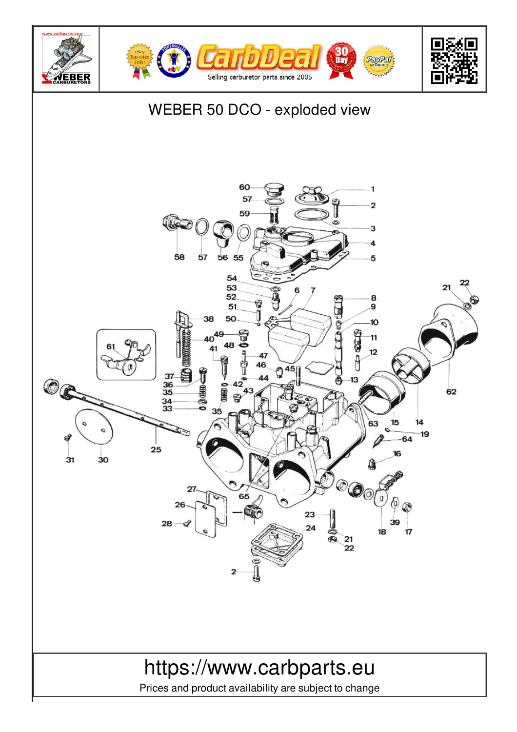